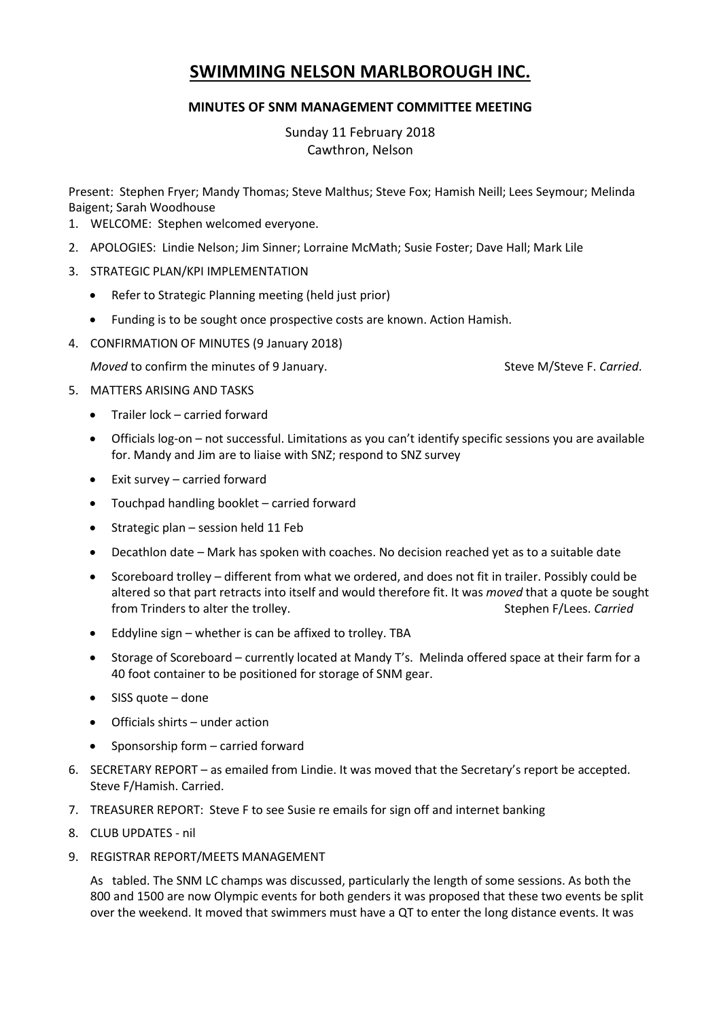## **SWIMMING NELSON MARLBOROUGH INC.**

## **MINUTES OF SNM MANAGEMENT COMMITTEE MEETING**

Sunday 11 February 2018 Cawthron, Nelson

Present: Stephen Fryer; Mandy Thomas; Steve Malthus; Steve Fox; Hamish Neill; Lees Seymour; Melinda Baigent; Sarah Woodhouse

- 1. WELCOME: Stephen welcomed everyone.
- 2. APOLOGIES: Lindie Nelson; Jim Sinner; Lorraine McMath; Susie Foster; Dave Hall; Mark Lile
- 3. STRATEGIC PLAN/KPI IMPLEMENTATION
	- Refer to Strategic Planning meeting (held just prior)
	- Funding is to be sought once prospective costs are known. Action Hamish.
- 4. CONFIRMATION OF MINUTES (9 January 2018)

*Moved* to confirm the minutes of 9 January. Steve M/Steve F. *Carried.* Steve M/Steve F. *Carried.* 

- 5. MATTERS ARISING AND TASKS
	- Trailer lock carried forward
	- Officials log-on not successful. Limitations as you can't identify specific sessions you are available for. Mandy and Jim are to liaise with SNZ; respond to SNZ survey
	- Exit survey carried forward
	- Touchpad handling booklet carried forward
	- Strategic plan session held 11 Feb
	- Decathlon date Mark has spoken with coaches. No decision reached yet as to a suitable date
	- Scoreboard trolley different from what we ordered, and does not fit in trailer. Possibly could be altered so that part retracts into itself and would therefore fit. It was *moved* that a quote be sought from Trinders to alter the trolley. Stephen F/Lees. *Carried*
	- Eddyline sign whether is can be affixed to trolley. TBA
	- Storage of Scoreboard currently located at Mandy T's. Melinda offered space at their farm for a 40 foot container to be positioned for storage of SNM gear.
	- $\bullet$  SISS quote done
	- Officials shirts under action
	- Sponsorship form carried forward
- 6. SECRETARY REPORT as emailed from Lindie. It was moved that the Secretary's report be accepted. Steve F/Hamish. Carried.
- 7. TREASURER REPORT: Steve F to see Susie re emails for sign off and internet banking
- 8. CLUB UPDATES nil
- 9. REGISTRAR REPORT/MEETS MANAGEMENT

As tabled. The SNM LC champs was discussed, particularly the length of some sessions. As both the 800 and 1500 are now Olympic events for both genders it was proposed that these two events be split over the weekend. It moved that swimmers must have a QT to enter the long distance events. It was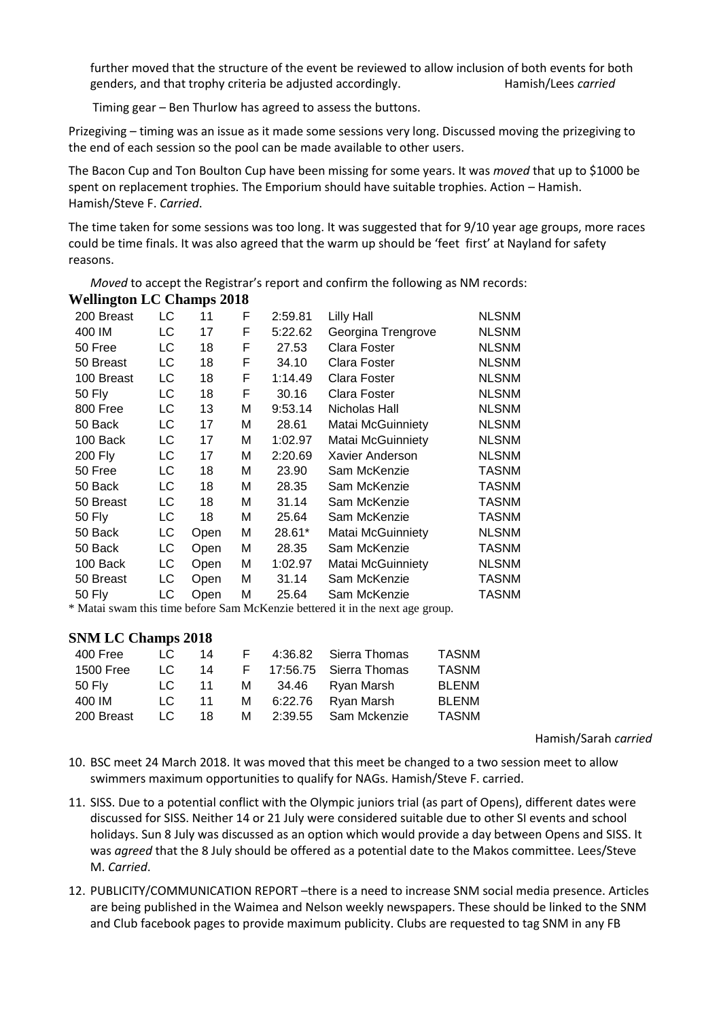further moved that the structure of the event be reviewed to allow inclusion of both events for both genders, and that trophy criteria be adjusted accordingly. Hamish/Lees *carried*

Timing gear – Ben Thurlow has agreed to assess the buttons.

Prizegiving – timing was an issue as it made some sessions very long. Discussed moving the prizegiving to the end of each session so the pool can be made available to other users.

The Bacon Cup and Ton Boulton Cup have been missing for some years. It was *moved* that up to \$1000 be spent on replacement trophies. The Emporium should have suitable trophies. Action – Hamish. Hamish/Steve F. *Carried*.

The time taken for some sessions was too long. It was suggested that for 9/10 year age groups, more races could be time finals. It was also agreed that the warm up should be 'feet first' at Nayland for safety reasons.

*Moved* to accept the Registrar's report and confirm the following as NM records: **Wellington LC Champs 2018**

| 200 Breast | LC | 11   | F | 2:59.81 | Lilly Hall               | <b>NLSNM</b> |
|------------|----|------|---|---------|--------------------------|--------------|
| 400 IM     | LC | 17   | F | 5:22.62 | Georgina Trengrove       | <b>NLSNM</b> |
| 50 Free    | LC | 18   | F | 27.53   | Clara Foster             | <b>NLSNM</b> |
| 50 Breast  | LC | 18   | F | 34.10   | Clara Foster             | <b>NLSNM</b> |
| 100 Breast | LC | 18   | F | 1:14.49 | Clara Foster             | <b>NLSNM</b> |
| 50 Fly     | LC | 18   | F | 30.16   | Clara Foster             | <b>NLSNM</b> |
| 800 Free   | LC | 13   | M | 9:53.14 | Nicholas Hall            | <b>NLSNM</b> |
| 50 Back    | LC | 17   | м | 28.61   | Matai McGuinniety        | <b>NLSNM</b> |
| 100 Back   | LC | 17   | м | 1:02.97 | <b>Matai McGuinniety</b> | <b>NLSNM</b> |
| 200 Fly    | LC | 17   | M | 2:20.69 | Xavier Anderson          | <b>NLSNM</b> |
| 50 Free    | LC | 18   | м | 23.90   | Sam McKenzie             | TASNM        |
| 50 Back    | LC | 18   | M | 28.35   | Sam McKenzie             | TASNM        |
| 50 Breast  | LC | 18   | M | 31.14   | Sam McKenzie             | <b>TASNM</b> |
| 50 Fly     | LC | 18   | М | 25.64   | Sam McKenzie             | TASNM        |
| 50 Back    | LC | Open | M | 28.61*  | Matai McGuinniety        | <b>NLSNM</b> |
| 50 Back    | LC | Open | M | 28.35   | Sam McKenzie             | TASNM        |
| 100 Back   | LC | Open | M | 1:02.97 | Matai McGuinniety        | <b>NLSNM</b> |
| 50 Breast  | LC | Open | M | 31.14   | Sam McKenzie             | <b>TASNM</b> |
| 50 Fly     | LC | Open | М | 25.64   | Sam McKenzie             | <b>TASNM</b> |

\* Matai swam this time before Sam McKenzie bettered it in the next age group.

## **SNM LC Champs 2018**

| 400 Free   | LC. | 14 | н. | 4:36.82 | Sierra Thomas          | <b>TASNM</b> |
|------------|-----|----|----|---------|------------------------|--------------|
| 1500 Free  | LC. | 14 | F. |         | 17:56.75 Sierra Thomas | <b>TASNM</b> |
| 50 Fly     | LC. | 11 | м  | 34.46   | Ryan Marsh             | <b>BLENM</b> |
| 400 IM     | LC. | 11 | м  | 6:22.76 | Ryan Marsh             | <b>BLENM</b> |
| 200 Breast | LC. | 18 | м  | 2:39.55 | Sam Mckenzie           | <b>TASNM</b> |

Hamish/Sarah *carried*

- 10. BSC meet 24 March 2018. It was moved that this meet be changed to a two session meet to allow swimmers maximum opportunities to qualify for NAGs. Hamish/Steve F. carried.
- 11. SISS. Due to a potential conflict with the Olympic juniors trial (as part of Opens), different dates were discussed for SISS. Neither 14 or 21 July were considered suitable due to other SI events and school holidays. Sun 8 July was discussed as an option which would provide a day between Opens and SISS. It was *agreed* that the 8 July should be offered as a potential date to the Makos committee. Lees/Steve M. *Carried*.
- 12. PUBLICITY/COMMUNICATION REPORT –there is a need to increase SNM social media presence. Articles are being published in the Waimea and Nelson weekly newspapers. These should be linked to the SNM and Club facebook pages to provide maximum publicity. Clubs are requested to tag SNM in any FB